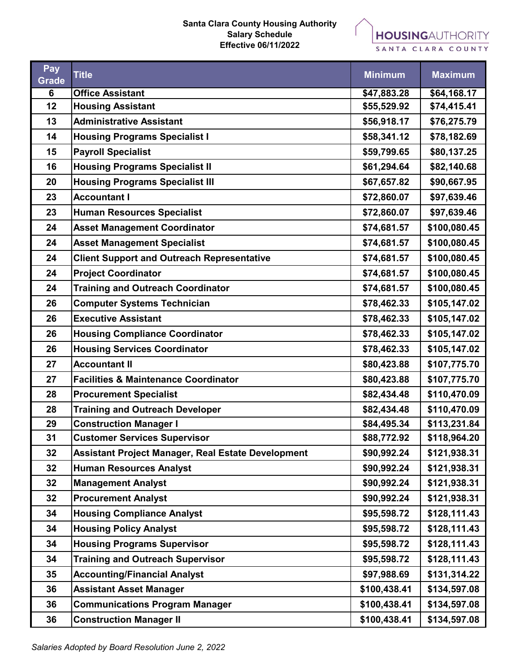## **Santa Clara County Housing Authority Salary Schedule Effective 06/11/2022**



SANTA CLARA COUNTY

| Pay<br>Grade | <b>Title</b>                                              | <b>Minimum</b> | <b>Maximum</b> |
|--------------|-----------------------------------------------------------|----------------|----------------|
| 6            | <b>Office Assistant</b>                                   | \$47,883.28    | \$64,168.17    |
| 12           | <b>Housing Assistant</b>                                  | \$55,529.92    | \$74,415.41    |
| 13           | <b>Administrative Assistant</b>                           | \$56,918.17    | \$76,275.79    |
| 14           | <b>Housing Programs Specialist I</b>                      | \$58,341.12    | \$78,182.69    |
| 15           | <b>Payroll Specialist</b>                                 | \$59,799.65    | \$80,137.25    |
| 16           | <b>Housing Programs Specialist II</b>                     | \$61,294.64    | \$82,140.68    |
| 20           | <b>Housing Programs Specialist III</b>                    | \$67,657.82    | \$90,667.95    |
| 23           | <b>Accountant I</b>                                       | \$72,860.07    | \$97,639.46    |
| 23           | <b>Human Resources Specialist</b>                         | \$72,860.07    | \$97,639.46    |
| 24           | <b>Asset Management Coordinator</b>                       | \$74,681.57    | \$100,080.45   |
| 24           | <b>Asset Management Specialist</b>                        | \$74,681.57    | \$100,080.45   |
| 24           | <b>Client Support and Outreach Representative</b>         | \$74,681.57    | \$100,080.45   |
| 24           | <b>Project Coordinator</b>                                | \$74,681.57    | \$100,080.45   |
| 24           | <b>Training and Outreach Coordinator</b>                  | \$74,681.57    | \$100,080.45   |
| 26           | <b>Computer Systems Technician</b>                        | \$78,462.33    | \$105,147.02   |
| 26           | <b>Executive Assistant</b>                                | \$78,462.33    | \$105,147.02   |
| 26           | <b>Housing Compliance Coordinator</b>                     | \$78,462.33    | \$105,147.02   |
| 26           | <b>Housing Services Coordinator</b>                       | \$78,462.33    | \$105,147.02   |
| 27           | <b>Accountant II</b>                                      | \$80,423.88    | \$107,775.70   |
| 27           | <b>Facilities &amp; Maintenance Coordinator</b>           | \$80,423.88    | \$107,775.70   |
| 28           | <b>Procurement Specialist</b>                             | \$82,434.48    | \$110,470.09   |
| 28           | <b>Training and Outreach Developer</b>                    | \$82,434.48    | \$110,470.09   |
| 29           | <b>Construction Manager I</b>                             | \$84,495.34    | \$113,231.84   |
| 31           | <b>Customer Services Supervisor</b>                       | \$88,772.92    | \$118,964.20   |
| 32           | <b>Assistant Project Manager, Real Estate Development</b> | \$90,992.24    | \$121,938.31   |
| 32           | <b>Human Resources Analyst</b>                            | \$90,992.24    | \$121,938.31   |
| 32           | <b>Management Analyst</b>                                 | \$90,992.24    | \$121,938.31   |
| 32           | <b>Procurement Analyst</b>                                | \$90,992.24    | \$121,938.31   |
| 34           | <b>Housing Compliance Analyst</b>                         | \$95,598.72    | \$128,111.43   |
| 34           | <b>Housing Policy Analyst</b>                             | \$95,598.72    | \$128,111.43   |
| 34           | <b>Housing Programs Supervisor</b>                        | \$95,598.72    | \$128,111.43   |
| 34           | <b>Training and Outreach Supervisor</b>                   | \$95,598.72    | \$128,111.43   |
| 35           | <b>Accounting/Financial Analyst</b>                       | \$97,988.69    | \$131,314.22   |
| 36           | <b>Assistant Asset Manager</b>                            | \$100,438.41   | \$134,597.08   |
| 36           | <b>Communications Program Manager</b>                     | \$100,438.41   | \$134,597.08   |
| 36           | <b>Construction Manager II</b>                            | \$100,438.41   | \$134,597.08   |